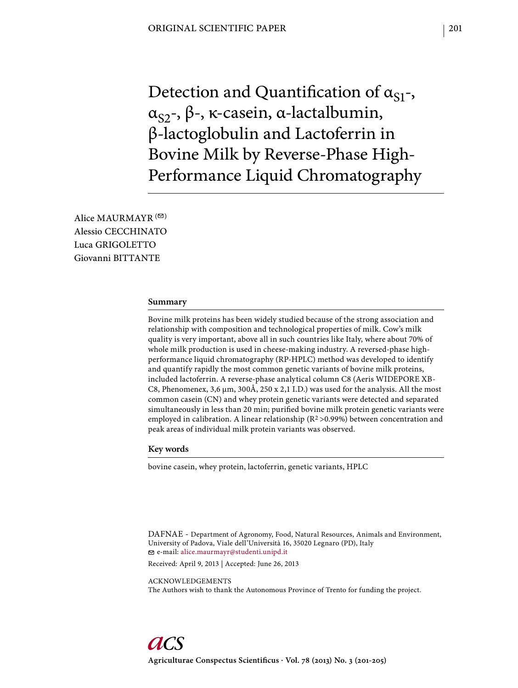Detection and Quantification of  $\alpha_{S1}$ -,  $\alpha_{S2}$ -, β-, κ-casein, α-lactalbumin, β-lactoglobulin and Lactoferrin in Bovine Milk by Reverse-Phase High-Performance Liquid Chromatography

Alice MAURMAYR  $( \heartsuit )$ Alessio CECCHINATO Luca GRIGOLETTO Giovanni BITTANTE

### **Summary**

Bovine milk proteins has been widely studied because of the strong association and relationship with composition and technological properties of milk. Cow's milk quality is very important, above all in such countries like Italy, where about 70% of whole milk production is used in cheese-making industry. A reversed-phase highperformance liquid chromatography (RP-HPLC) method was developed to identify and quantify rapidly the most common genetic variants of bovine milk proteins, included lactoferrin. A reverse-phase analytical column C8 (Aeris WIDEPORE XB-C8, Phenomenex,  $3.6 \mu m$ ,  $300 \text{\AA}$ ,  $250 \text{ x } 2.1 \text{ I.D.}$ ) was used for the analysis. All the most common casein (CN) and whey protein genetic variants were detected and separated simultaneously in less than 20 min; purified bovine milk protein genetic variants were employed in calibration. A linear relationship  $(R^2 > 0.99%)$  between concentration and peak areas of individual milk protein variants was observed.

### **Key words**

bovine casein, whey protein, lactoferrin, genetic variants, HPLC

DAFNAE - Department of Agronomy, Food, Natural Resources, Animals and Environment, University of Padova, Viale dell'Università 16, 35020 Legnaro (PD), Italy e-mail: alice.maurmayr@studenti.unipd.it

Received: April 9, 2013 | Accepted: June 26, 2013

ACKNOWLEDGEMENTS The Authors wish to thank the Autonomous Province of Trento for funding the project.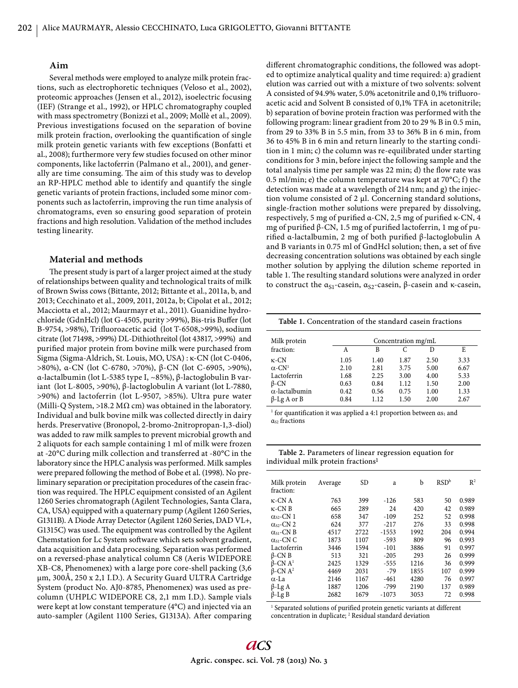## **Aim**

Several methods were employed to analyze milk protein fractions, such as electrophoretic techniques (Veloso et al., 2002), proteomic approaches (Jensen et al., 2012), isoelectric focusing (IEF) (Strange et al., 1992), or HPLC chromatography coupled with mass spectrometry (Bonizzi et al., 2009; Mollè et al., 2009). Previous investigations focused on the separation of bovine milk protein fraction, overlooking the quantification of single milk protein genetic variants with few exceptions (Bonfatti et al., 2008); furthermore very few studies focused on other minor components, like lactoferrin (Palmano et al., 2001), and generally are time consuming. The aim of this study was to develop an RP-HPLC method able to identify and quantify the single genetic variants of protein fractions, included some minor components such as lactoferrin, improving the run time analysis of chromatograms, even so ensuring good separation of protein fractions and high resolution. Validation of the method includes testing linearity.

#### **Material and methods**

The present study is part of a larger project aimed at the study of relationships between quality and technological traits of milk of Brown Swiss cows (Bittante, 2012; Bittante et al., 2011a, b, and 2013; Cecchinato et al., 2009, 2011, 2012a, b; Cipolat et al., 2012; Macciotta et al., 2012; Maurmayr et al., 2011). Guanidine hydrochloride (GdnHcl) (lot G-4505, purity >99%), Bis-tris Buffer (lot B-9754, >98%), Trifluoroacetic acid (lot T-6508, >99%), sodium citrate (lot 71498, >99%) DL-Dithiothreitol (lot 43817, >99%) and purified major protein from bovine milk were purchased from Sigma (Sigma-Aldrich, St. Louis, MO, USA) : κ-CN (lot C-0406, >80%), α-CN (lot C-6780, >70%), β-CN (lot C-6905, >90%), α-lactalbumin (lot L-5385 type I, ~85%), β-lactoglobulin B variant (lot L-8005, >90%), β-lactoglobulin A variant (lot L-7880, >90%) and lactoferrin (lot L-9507, >85%). Ultra pure water (Milli-Q System, >18.2 M $\Omega$  cm) was obtained in the laboratory. Individual and bulk bovine milk was collected directly in dairy herds. Preservative (Bronopol, 2-bromo-2nitropropan-1,3-diol) was added to raw milk samples to prevent microbial growth and 2 aliquots for each sample containing 1 ml of milk were frozen at -20°C during milk collection and transferred at -80°C in the laboratory since the HPLC analysis was performed. Milk samples were prepared following the method of Bobe et al. (1998). No preliminary separation or precipitation procedures of the casein fraction was required. The HPLC equipment consisted of an Agilent 1260 Series chromatograph (Agilent Technologies, Santa Clara, CA, USA) equipped with a quaternary pump (Agilent 1260 Series, G1311B). A Diode Array Detector (Agilent 1260 Series, DAD VL+, G1315C) was used. The equipment was controlled by the Agilent Chemstation for Lc System software which sets solvent gradient, data acquisition and data processing. Separation was performed on a reversed-phase analytical column C8 (Aeris WIDEPORE XB-C8, Phenomenex) with a large pore core-shell packing (3,6 μm, 300Å, 250 x 2,1 I.D.). A Security Guard ULTRA Cartridge System (product No. AJ0-8785, Phenomenex) was used as precolumn (UHPLC WIDEPORE C8, 2,1 mm I.D.). Sample vials were kept at low constant temperature (4°C) and injected via an auto-sampler (Agilent 1100 Series, G1313A). After comparing different chromatographic conditions, the followed was adopted to optimize analytical quality and time required: a) gradient elution was carried out with a mixture of two solvents: solvent A consisted of 94.9% water, 5.0% acetonitrile and 0,1% trifluoroacetic acid and Solvent B consisted of 0,1% TFA in acetonitrile; b) separation of bovine protein fraction was performed with the following program: linear gradient from 20 to 29 % B in 0.5 min, from 29 to 33% B in 5.5 min, from 33 to 36% B in 6 min, from 36 to 45% B in 6 min and return linearly to the starting condition in 1 min; c) the column was re-equilibrated under starting conditions for 3 min, before inject the following sample and the total analysis time per sample was 22 min; d) the flow rate was 0.5 ml/min; e) the column temperature was kept at  $70^{\circ}$ C; f) the detection was made at a wavelength of 214 nm; and g) the injection volume consisted of 2 μl. Concerning standard solutions, single-fraction mother solutions were prepared by dissolving, respectively, 5 mg of purified α-CN, 2,5 mg of purified κ-CN, 4 mg of purified β-CN, 1.5 mg of purified lactoferrin, 1 mg of purified α-lactalbumin, 2 mg of both purified β-lactoglobulin A and B variants in 0.75 ml of GndHcl solution; then, a set of five decreasing concentration solutions was obtained by each single mother solution by applying the dilution scheme reported in table 1. The resulting standard solutions were analyzed in order to construct the  $α<sub>S1</sub>$ -casein,  $α<sub>S2</sub>$ -casein, β-casein and κ-casein,

**Table 1.** Concentration of the standard casein fractions

| Milk protein              | Concentration mg/mL |      |      |      |      |  |  |  |
|---------------------------|---------------------|------|------|------|------|--|--|--|
| fraction:                 | А                   | В    | C    | D    | E    |  |  |  |
| $\kappa$ -CN              | 1.05                | 1.40 | 1.87 | 2.50 | 3.33 |  |  |  |
| $\alpha$ -CN <sup>1</sup> | 2.10                | 2.81 | 3.75 | 5.00 | 6.67 |  |  |  |
| Lactoferrin               | 1.68                | 2.25 | 3.00 | 4.00 | 5.33 |  |  |  |
| $\beta$ -CN               | 0.63                | 0.84 | 1.12 | 1.50 | 2.00 |  |  |  |
| $\alpha$ -lactalbumin     | 0.42                | 0.56 | 0.75 | 1.00 | 1.33 |  |  |  |
| $\beta$ -Lg A or B        | 0.84                | 1.12 | 1.50 | 2.00 | 2.67 |  |  |  |

<sup>1</sup> for quantification it was applied a 4:1 proportion between  $\alpha s_1$  and  $\alpha$ <sub>s</sub> fractions

**Table 2.** Parameters of linear regression equation for individual milk protein fractions1

| Milk protein<br>fraction:    | Average | SD.  | a       | b    | RSD <sup>b</sup> | R <sup>2</sup> |
|------------------------------|---------|------|---------|------|------------------|----------------|
| $\kappa$ -CNA                | 763     | 399  | $-126$  | 583  | 50               | 0.989          |
| $\kappa$ -CN B               | 665     | 289  | 24      | 420  | 42               | 0.989          |
| $\alpha_{s2}$ -CN 1          | 658     | 347  | $-109$  | 252  | 52               | 0.998          |
| $\alpha_{s2}$ -CN 2          | 624     | 377  | $-217$  | 276  | 33               | 0.998          |
| $\alpha$ <sub>S1</sub> -CN B | 4517    | 2722 | $-1553$ | 1992 | 204              | 0.994          |
| $\alpha$ <sub>S1</sub> -CN C | 1873    | 1107 | $-593$  | 809  | 96               | 0.993          |
| Lactoferrin                  | 3446    | 1594 | $-101$  | 3886 | 91               | 0.997          |
| $\beta$ -CN B                | 513     | 321  | $-205$  | 293  | 26               | 0.999          |
| $\beta$ -CN $A^1$            | 2425    | 1329 | $-555$  | 1216 | 36               | 0.999          |
| $\beta$ -CN $A^2$            | 4469    | 2031 | $-79$   | 1855 | 107              | 0.999          |
| $\alpha$ -La                 | 2146    | 1167 | $-461$  | 4280 | 76               | 0.997          |
| $\beta$ -Lg A                | 1887    | 1206 | $-799$  | 2190 | 137              | 0.989          |
| $\beta$ -Lg B                | 2682    | 1679 | $-1073$ | 3053 | 72               | 0.998          |

<sup>1</sup> Separated solutions of purified protein genetic variants at different concentration in duplicate; <sup>2</sup> Residual standard deviation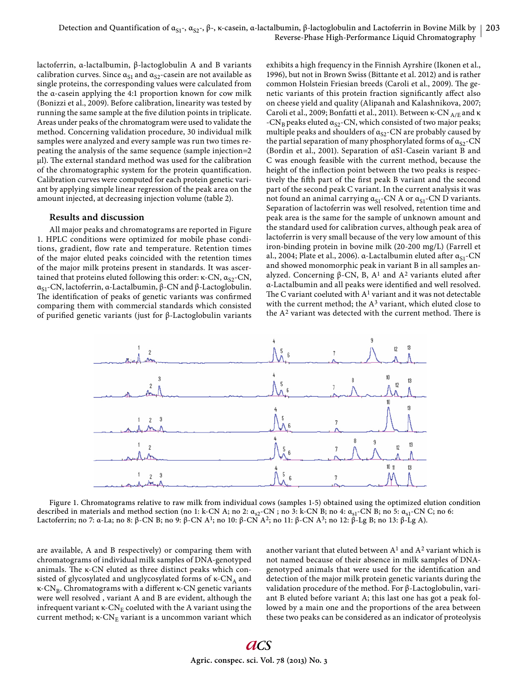lactoferrin, α-lactalbumin, β-lactoglobulin A and B variants calibration curves. Since  $\alpha_{S1}$  and  $\alpha_{S2}$ -casein are not available as single proteins, the corresponding values were calculated from the α-casein applying the 4:1 proportion known for cow milk (Bonizzi et al., 2009). Before calibration, linearity was tested by running the same sample at the five dilution points in triplicate. Areas under peaks of the chromatogram were used to validate the method. Concerning validation procedure, 30 individual milk samples were analyzed and every sample was run two times repeating the analysis of the same sequence (sample injection=2 μl). The external standard method was used for the calibration of the chromatographic system for the protein quantification. Calibration curves were computed for each protein genetic variant by applying simple linear regression of the peak area on the amount injected, at decreasing injection volume (table 2).

## **Results and discussion**

All major peaks and chromatograms are reported in Figure 1. HPLC conditions were optimized for mobile phase conditions, gradient, flow rate and temperature. Retention times of the major eluted peaks coincided with the retention times of the major milk proteins present in standards. It was ascertained that proteins eluted following this order: κ-CN,  $\alpha_{S2}$ -CN, α<sub>S1</sub>-CN, lactoferrin, α-Lactalbumin,  $β$ -CN and  $β$ -Lactoglobulin. The identification of peaks of genetic variants was confirmed comparing them with commercial standards which consisted of purified genetic variants (just for β-Lactoglobulin variants exhibits a high frequency in the Finnish Ayrshire (Ikonen et al., 1996), but not in Brown Swiss (Bittante et al. 2012) and is rather common Holstein Friesian breeds (Caroli et al., 2009). The genetic variants of this protein fraction significantly affect also on cheese yield and quality (Alipanah and Kalashnikova, 2007; Caroli et al., 2009; Bonfatti et al., 2011). Between κ-CN  $_{\rm A/E}$  and κ -CN<sub>B</sub> peaks eluted  $\alpha_{S2}$ -CN, which consisted of two major peaks; multiple peaks and shoulders of  $\alpha_{S2}$ -CN are probably caused by the partial separation of many phosphorylated forms of  $\alpha_{S2}$ -CN (Bordin et al., 2001). Separation of αS1-Casein variant B and C was enough feasible with the current method, because the height of the inflection point between the two peaks is respectively the fifth part of the first peak B variant and the second part of the second peak C variant. In the current analysis it was not found an animal carrying  $\alpha_{S1}$ -CN A or  $\alpha_{S1}$ -CN D variants. Separation of lactoferrin was well resolved, retention time and peak area is the same for the sample of unknown amount and the standard used for calibration curves, although peak area of lactoferrin is very small because of the very low amount of this iron-binding protein in bovine milk (20-200 mg/L) (Farrell et al., 2004; Plate et al., 2006). α-Lactalbumin eluted after  $\alpha_{S1}$ -CN and showed monomorphic peak in variant B in all samples analyzed. Concerning β-CN, B,  $A<sup>1</sup>$  and  $A<sup>2</sup>$  variants eluted after α-Lactalbumin and all peaks were identified and well resolved. The C variant coeluted with  $A<sup>1</sup>$  variant and it was not detectable with the current method; the  $A<sup>3</sup>$  variant, which eluted close to the  $A<sup>2</sup>$  variant was detected with the current method. There is



Figure 1. Chromatograms relative to raw milk from individual cows (samples 1-5) obtained using the optimized elution condition described in materials and method section (no 1: k-CN A; no 2:  $\alpha_{s2}$ -CN ; no 3: k-CN B; no 4:  $\alpha_{s1}$ -CN B; no 5:  $\alpha_{s1}$ -CN C; no 6: Lactoferrin; no 7: α-La; no 8: β-CN B; no 9: β-CN A1; no 10: β-CN A2; no 11: β-CN A3; no 12: β-Lg B; no 13: β-Lg A).

are available, A and B respectively) or comparing them with chromatograms of individual milk samples of DNA-genotyped animals. The  $\kappa$ -CN eluted as three distinct peaks which consisted of glycosylated and unglycosylated forms of  $\kappa$ -CN<sub>A</sub> and κ-CN<sub>B</sub>. Chromatograms with a different κ-CN genetic variants were well resolved , variant A and B are evident, although the infrequent variant  $\kappa$ -CN<sub>E</sub> coeluted with the A variant using the current method;  $\kappa$ -CN<sub>E</sub> variant is a uncommon variant which another variant that eluted between  $A<sup>1</sup>$  and  $A<sup>2</sup>$  variant which is not named because of their absence in milk samples of DNAgenotyped animals that were used for the identification and detection of the major milk protein genetic variants during the validation procedure of the method. For β-Lactoglobulin, variant B eluted before variant A; this last one has got a peak followed by a main one and the proportions of the area between these two peaks can be considered as an indicator of proteolysis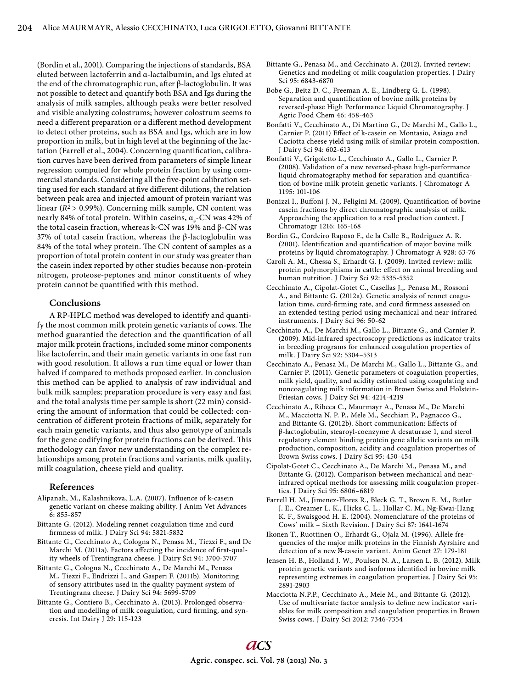(Bordin et al., 2001). Comparing the injections of standards, BSA eluted between lactoferrin and α-lactalbumin, and Igs eluted at the end of the chromatographic run, after  $\beta$ -lactoglobulin. It was not possible to detect and quantify both BSA and Igs during the analysis of milk samples, although peaks were better resolved and visible analyzing colostrums; however colostrum seems to need a different preparation or a different method development to detect other proteins, such as BSA and Igs, which are in low proportion in milk, but in high level at the beginning of the lactation (Farrell et al., 2004). Concerning quantification, calibration curves have been derived from parameters of simple linear regression computed for whole protein fraction by using commercial standards. Considering all the five-point calibration setting used for each standard at five different dilutions, the relation between peak area and injected amount of protein variant was linear (*R2* > 0.99%). Concerning milk sample, CN content was nearly 84% of total protein. Within caseins,  $α<sub>s</sub>$ -CN was 42% of the total casein fraction, whereas k-CN was 19% and  $β$ -CN was 37% of total casein fraction, whereas the β-lactoglobulin was 84% of the total whey protein. The CN content of samples as a proportion of total protein content in our study was greater than the casein index reported by other studies because non-protein nitrogen, proteose-peptones and minor constituents of whey protein cannot be quantified with this method.

# **Conclusions**

A RP-HPLC method was developed to identify and quantify the most common milk protein genetic variants of cows. The method guarantied the detection and the quantification of all major milk protein fractions, included some minor components like lactoferrin, and their main genetic variants in one fast run with good resolution. It allows a run time equal or lower than halved if compared to methods proposed earlier. In conclusion this method can be applied to analysis of raw individual and bulk milk samples; preparation procedure is very easy and fast and the total analysis time per sample is short (22 min) considering the amount of information that could be collected: concentration of different protein fractions of milk, separately for each main genetic variants, and thus also genotype of animals for the gene codifying for protein fractions can be derived. This methodology can favor new understanding on the complex relationships among protein fractions and variants, milk quality, milk coagulation, cheese yield and quality.

### **References**

- Alipanah, M., Kalashnikova, L.A. (2007). Influence of k-casein genetic variant on cheese making ability. J Anim Vet Advances 6: 855-857
- Bittante G. (2012). Modeling rennet coagulation time and curd firmness of milk. J Dairy Sci 94: 5821-5832
- Bittante G., Cecchinato A., Cologna N., Penasa M., Tiezzi F., and De Marchi M. (2011a). Factors affecting the incidence of first-quality wheels of Trentingrana cheese. J Dairy Sci 94: 3700-3707
- Bittante G., Cologna N., Cecchinato A., De Marchi M., Penasa M., Tiezzi F., Endrizzi I., and Gasperi F. (2011b). Monitoring of sensory attributes used in the quality payment system of Trentingrana cheese. J Dairy Sci 94: 5699-5709
- Bittante G., Contiero B., Cecchinato A. (2013). Prolonged observation and modelling of milk coagulation, curd firming, and syneresis. Int Dairy J 29: 115-123
- Bittante G., Penasa M., and Cecchinato A. (2012). Invited review: Genetics and modeling of milk coagulation properties. J Dairy Sci 95: 6843-6870
- Bobe G., Beitz D. C., Freeman A. E., Lindberg G. L. (1998). Separation and quantification of bovine milk proteins by reversed-phase High Performance Liquid Chromatography. J Agric Food Chem 46: 458-463
- Bonfatti V., Cecchinato A., Di Martino G., De Marchi M., Gallo L., Carnier P. (2011) Effect of k-casein on Montasio, Asiago and Caciotta cheese yield using milk of similar protein composition. J Dairy Sci 94: 602-613
- Bonfatti V., Grigoletto L., Cecchinato A., Gallo L., Carnier P. (2008). Validation of a new reversed-phase high-performance liquid chromatography method for separation and quantification of bovine milk protein genetic variants. J Chromatogr A 1195: 101-106
- Bonizzi I., Buffoni J. N., Feligini M. (2009). Quantification of bovine casein fractions by direct chromatographic analysis of milk. Approaching the application to a real production context. J Chromatogr 1216: 165-168
- Bordin G., Cordeiro Raposo F., de la Calle B., Rodriguez A. R. (2001). Identification and quantification of major bovine milk proteins by liquid chromatography. J Chromatogr A 928: 63-76
- Caroli A. M., Chessa S., Erhardt G. J. (2009). Invited review: milk protein polymorphisms in cattle: effect on animal breeding and human nutrition. J Dairy Sci 92: 5335-5352
- Cecchinato A., Cipolat-Gotet C., Casellas J.,. Penasa M., Rossoni A., and Bittante G. (2012a). Genetic analysis of rennet coagulation time, curd-firming rate, and curd firmness assessed on an extended testing period using mechanical and near-infrared instruments. J Dairy Sci 96: 50-62
- Cecchinato A., De Marchi M., Gallo L., Bittante G., and Carnier P. (2009). Mid-infrared spectroscopy predictions as indicator traits in breeding programs for enhanced coagulation properties of milk. J Dairy Sci 92: 5304–5313
- Cecchinato A., Penasa M., De Marchi M., Gallo L., Bittante G., and Carnier P. (2011). Genetic parameters of coagulation properties, milk yield, quality, and acidity estimated using coagulating and noncoagulating milk information in Brown Swiss and Holstein-Friesian cows. J Dairy Sci 94: 4214-4219
- Cecchinato A., Ribeca C., Maurmayr A., Penasa M., De Marchi M., Macciotta N. P. P., Mele M., Secchiari P., Pagnacco G., and Bittante G. (2012b). Short communication: Effects of β-lactoglobulin, stearoyl-coenzyme A desaturase 1, and sterol regulatory element binding protein gene allelic variants on milk production, composition, acidity and coagulation properties of Brown Swiss cows. J Dairy Sci 95: 450-454
- Cipolat-Gotet C., Cecchinato A., De Marchi M., Penasa M., and Bittante G. (2012). Comparison between mechanical and nearinfrared optical methods for assessing milk coagulation properties. J Dairy Sci 95: 6806–6819
- Farrell H. M., Jimenez-Flores R., Bleck G. T., Brown E. M., Butler J. E., Creamer L. K., Hicks C. L., Hollar C. M., Ng-Kwai-Hang K. F., Swaisgood H. E. (2004). Nomenclature of the proteins of Cows' milk – Sixth Revision. J Dairy Sci 87: 1641-1674
- Ikonen T., Ruottinen O., Erhardt G., Ojala M. (1996). Allele frequencies of the major milk proteins in the Finnish Ayrshire and detection of a new **A**-casein variant. Anim Genet 27: 179-181
- Jensen H. B., Holland J. W., Poulsen N. A., Larsen L. B. (2012). Milk protein genetic variants and isoforms identified in bovine milk representing extremes in coagulation properties. J Dairy Sci 95: 2891-2903
- Macciotta N.P.P., Cecchinato A., Mele M., and Bittante G. (2012). Use of multivariate factor analysis to define new indicator variables for milk composition and coagulation properties in Brown Swiss cows. J Dairy Sci 2012: 7346-7354